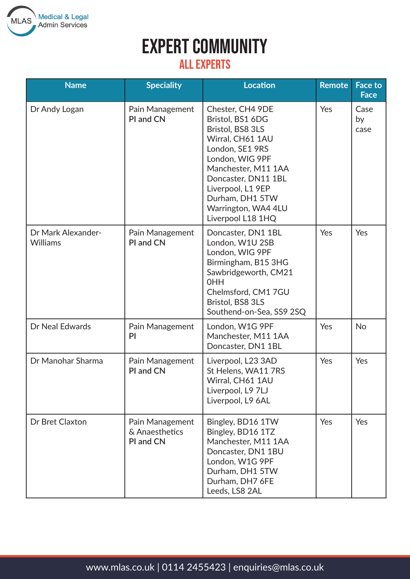

#### All Experts

| <b>Name</b>                           | <b>Speciality</b>                              | <b>Location</b>                                                                                                                                                                                                                                      | <b>Remote</b> | Face to<br><b>Face</b> |
|---------------------------------------|------------------------------------------------|------------------------------------------------------------------------------------------------------------------------------------------------------------------------------------------------------------------------------------------------------|---------------|------------------------|
| Dr Andy Logan                         | Pain Management<br>PI and CN                   | Chester, CH4 9DE<br>Bristol, BS1 6DG<br>Bristol, BS8 3LS<br>Wirral, CH61 1AU<br>London, SE1 9RS<br>London, WIG 9PF<br>Manchester, M11 1AA<br>Doncaster, DN11 1BL<br>Liverpool, L1 9EP<br>Durham, DH1 5TW<br>Warrington, WA4 4LU<br>Liverpool L18 1HQ | Yes           | Case<br>by<br>case     |
| Dr Mark Alexander-<br><b>Williams</b> | Pain Management<br>PI and CN                   | Doncaster, DN1 1BL<br>London, W1U 2SB<br>London, WIG 9PF<br>Birmingham, B15 3HG<br>Sawbridgeworth, CM21<br><b>OHH</b><br>Chelmsford, CM1 7GU<br>Bristol, BS8 3LS<br>Southend-on-Sea, SS9 2SQ                                                         | Yes           | Yes                    |
| Dr Neal Edwards                       | Pain Management<br>PI                          | London, W1G 9PF<br>Manchester, M11 1AA<br>Doncaster, DN1 1BL                                                                                                                                                                                         | Yes           | <b>No</b>              |
| Dr Manohar Sharma                     | Pain Management<br>PI and CN                   | Liverpool, L23 3AD<br>St Helens, WA11 7RS<br>Wirral, CH61 1AU<br>Liverpool, L9 7LJ<br>Liverpool, L9 6AL                                                                                                                                              | Yes           | Yes                    |
| Dr Bret Claxton                       | Pain Management<br>& Anaesthetics<br>PI and CN | Bingley, BD16 1TW<br>Bingley, BD16 1TZ<br>Manchester, M11 1AA<br>Doncaster, DN1 1BU<br>London, W1G 9PF<br>Durham, DH1 5TW<br>Durham, DH7 6FE<br>Leeds, LS8 2AL                                                                                       | Yes           | Yes                    |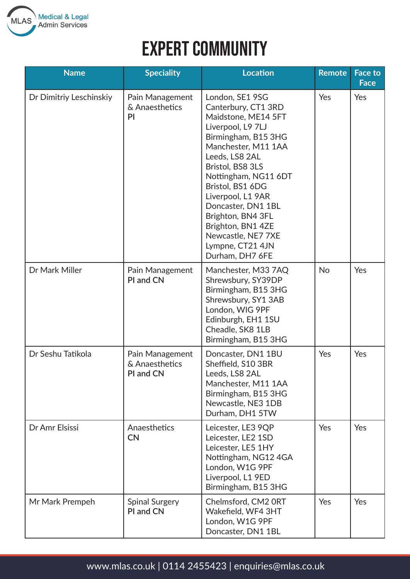

| <b>Name</b>             | <b>Speciality</b>                              | <b>Location</b>                                                                                                                                                                                                                                                                                                                                                      | <b>Remote</b> | <b>Face to</b><br><b>Face</b> |
|-------------------------|------------------------------------------------|----------------------------------------------------------------------------------------------------------------------------------------------------------------------------------------------------------------------------------------------------------------------------------------------------------------------------------------------------------------------|---------------|-------------------------------|
| Dr Dimitriy Leschinskiy | Pain Management<br>& Anaesthetics<br>PI        | London, SE1 9SG<br>Canterbury, CT1 3RD<br>Maidstone, ME14 5FT<br>Liverpool, L9 7LJ<br>Birmingham, B15 3HG<br>Manchester, M11 1AA<br>Leeds, LS8 2AL<br>Bristol, BS8 3LS<br>Nottingham, NG11 6DT<br>Bristol, BS1 6DG<br>Liverpool, L1 9AR<br>Doncaster, DN1 1BL<br>Brighton, BN4 3FL<br>Brighton, BN1 4ZE<br>Newcastle, NE7 7XE<br>Lympne, CT21 4JN<br>Durham, DH7 6FE | Yes           | Yes                           |
| Dr Mark Miller          | Pain Management<br>PI and CN                   | Manchester, M33 7AQ<br>Shrewsbury, SY39DP<br>Birmingham, B15 3HG<br>Shrewsbury, SY1 3AB<br>London, WIG 9PF<br>Edinburgh, EH1 1SU<br>Cheadle, SK8 1LB<br>Birmingham, B15 3HG                                                                                                                                                                                          | <b>No</b>     | Yes                           |
| Dr Seshu Tatikola       | Pain Management<br>& Anaesthetics<br>PI and CN | Doncaster, DN1 1BU<br>Sheffield, S10 3BR<br>Leeds, LS8 2AL<br>Manchester, M11 1AA<br>Birmingham, B15 3HG<br>Newcastle, NE3 1DB<br>Durham, DH1 5TW                                                                                                                                                                                                                    | Yes           | Yes                           |
| Dr Amr Elsissi          | Anaesthetics<br><b>CN</b>                      | Leicester, LE3 9QP<br>Leicester, LE2 1SD<br>Leicester, LE5 1HY<br>Nottingham, NG12 4GA<br>London, W1G 9PF<br>Liverpool, L1 9ED<br>Birmingham, B15 3HG                                                                                                                                                                                                                | Yes           | Yes                           |
| Mr Mark Prempeh         | <b>Spinal Surgery</b><br>PI and CN             | Chelmsford, CM2 ORT<br>Wakefield, WF4 3HT<br>London, W1G 9PF<br>Doncaster, DN1 1BL                                                                                                                                                                                                                                                                                   | Yes           | Yes                           |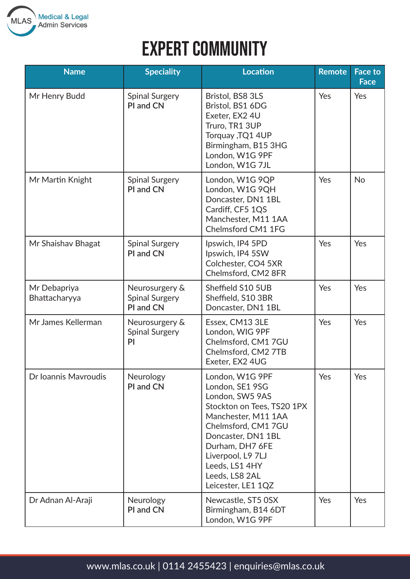

# **EXPERT COMMUNITY**

| <b>Name</b>                   | <b>Speciality</b>                                    | <b>Location</b>                                                                                                                                                                                                                                           | <b>Remote</b> | <b>Face to</b><br><b>Face</b> |
|-------------------------------|------------------------------------------------------|-----------------------------------------------------------------------------------------------------------------------------------------------------------------------------------------------------------------------------------------------------------|---------------|-------------------------------|
| Mr Henry Budd                 | <b>Spinal Surgery</b><br>PI and CN                   | Bristol, BS8 3LS<br>Bristol, BS1 6DG<br>Exeter, EX2 4U<br>Truro, TR1 3UP<br>Torquay , TQ1 4UP<br>Birmingham, B15 3HG<br>London, W1G 9PF<br>London, W1G 7JL                                                                                                | Yes           | Yes                           |
| Mr Martin Knight              | <b>Spinal Surgery</b><br>PI and CN                   | London, W1G 9QP<br>London, W1G 9QH<br>Doncaster, DN1 1BL<br>Cardiff, CF5 1QS<br>Manchester, M11 1AA<br>Chelmsford CM1 1FG                                                                                                                                 | Yes           | <b>No</b>                     |
| Mr Shaishav Bhagat            | <b>Spinal Surgery</b><br>PI and CN                   | Ipswich, IP4 5PD<br>Ipswich, IP4 5SW<br>Colchester, CO4 5XR<br>Chelmsford, CM2 8FR                                                                                                                                                                        | Yes           | Yes                           |
| Mr Debapriya<br>Bhattacharyya | Neurosurgery &<br><b>Spinal Surgery</b><br>PI and CN | Sheffield S10 5UB<br>Sheffield, S10 3BR<br>Doncaster, DN1 1BL                                                                                                                                                                                             | Yes           | Yes                           |
| Mr James Kellerman            | Neurosurgery &<br><b>Spinal Surgery</b><br>PI        | Essex, CM13 3LE<br>London, WIG 9PF<br>Chelmsford, CM1 7GU<br>Chelmsford, CM2 7TB<br>Exeter, EX2 4UG                                                                                                                                                       | Yes           | Yes                           |
| Dr Ioannis Mavroudis          | Neurology<br>PI and CN                               | London, W1G 9PF<br>London, SE1 9SG<br>London, SW5 9AS<br>Stockton on Tees, TS20 1PX<br>Manchester, M11 1AA<br>Chelmsford, CM1 7GU<br>Doncaster, DN1 1BL<br>Durham, DH7 6FE<br>Liverpool, L9 7LJ<br>Leeds, LS1 4HY<br>Leeds, LS8 2AL<br>Leicester, LE1 1QZ | Yes           | Yes                           |
| Dr Adnan Al-Araji             | Neurology<br>PI and CN                               | Newcastle, ST5 OSX<br>Birmingham, B14 6DT<br>London, W1G 9PF                                                                                                                                                                                              | Yes           | Yes                           |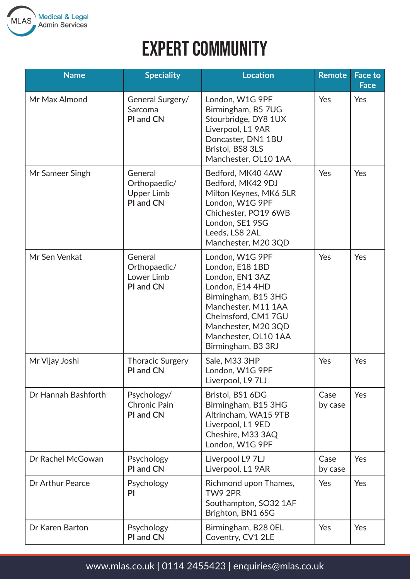

| <b>Name</b>         | <b>Speciality</b>                                         | <b>Location</b>                                                                                                                                                                                                    | <b>Remote</b>   | <b>Face to</b><br><b>Face</b> |
|---------------------|-----------------------------------------------------------|--------------------------------------------------------------------------------------------------------------------------------------------------------------------------------------------------------------------|-----------------|-------------------------------|
| Mr Max Almond       | General Surgery/<br>Sarcoma<br>PI and CN                  | London, W1G 9PF<br>Birmingham, B5 7UG<br>Stourbridge, DY8 1UX<br>Liverpool, L1 9AR<br>Doncaster, DN1 1BU<br>Bristol, BS8 3LS<br>Manchester, OL10 1AA                                                               | Yes             | Yes                           |
| Mr Sameer Singh     | General<br>Orthopaedic/<br><b>Upper Limb</b><br>PI and CN | Bedford, MK40 4AW<br>Bedford, MK42 9DJ<br>Milton Keynes, MK6 5LR<br>London, W1G 9PF<br>Chichester, PO19 6WB<br>London, SE1 9SG<br>Leeds, LS8 2AL<br>Manchester, M20 3QD                                            | Yes             | Yes                           |
| Mr Sen Venkat       | General<br>Orthopaedic/<br>Lower Limb<br>PI and CN        | London, W1G 9PF<br>London, E18 1BD<br>London, EN1 3AZ<br>London, E14 4HD<br>Birmingham, B15 3HG<br>Manchester, M11 1AA<br>Chelmsford, CM1 7GU<br>Manchester, M20 3QD<br>Manchester, OL10 1AA<br>Birmingham, B3 3RJ | Yes             | Yes                           |
| Mr Vijay Joshi      | <b>Thoracic Surgery</b><br>PI and CN                      | Sale, M33 3HP<br>London, W1G 9PF<br>Liverpool, L9 7LJ                                                                                                                                                              | Yes             | Yes                           |
| Dr Hannah Bashforth | Psychology/<br><b>Chronic Pain</b><br>PI and CN           | Bristol, BS1 6DG<br>Birmingham, B15 3HG<br>Altrincham, WA15 9TB<br>Liverpool, L1 9ED<br>Cheshire, M33 3AQ<br>London, W1G 9PF                                                                                       | Case<br>by case | Yes                           |
| Dr Rachel McGowan   | Psychology<br>PI and CN                                   | Liverpool L9 7LJ<br>Liverpool, L1 9AR                                                                                                                                                                              | Case<br>by case | Yes                           |
| Dr Arthur Pearce    | Psychology<br>PI                                          | Richmond upon Thames,<br>TW9 2PR<br>Southampton, SO32 1AF<br>Brighton, BN1 6SG                                                                                                                                     | Yes             | Yes                           |
| Dr Karen Barton     | Psychology<br>PI and CN                                   | Birmingham, B28 OEL<br>Coventry, CV1 2LE                                                                                                                                                                           | Yes             | Yes                           |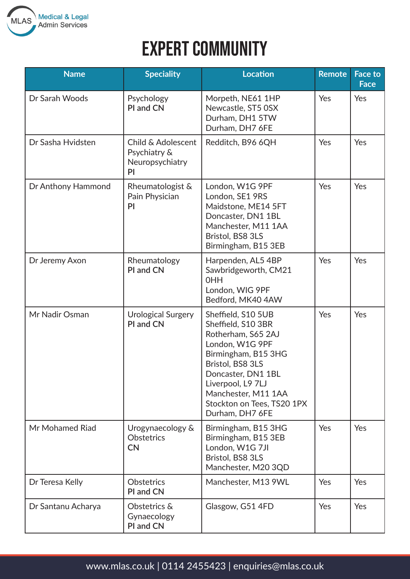

## **EXPERT COMMUNITY**

| <b>Name</b>        | <b>Speciality</b>                                           | <b>Location</b>                                                                                                                                                                                                                                 | <b>Remote</b> | <b>Face to</b><br><b>Face</b> |
|--------------------|-------------------------------------------------------------|-------------------------------------------------------------------------------------------------------------------------------------------------------------------------------------------------------------------------------------------------|---------------|-------------------------------|
| Dr Sarah Woods     | Psychology<br>PI and CN                                     | Morpeth, NE61 1HP<br>Newcastle, ST5 OSX<br>Durham, DH1 5TW<br>Durham, DH7 6FE                                                                                                                                                                   | Yes           | Yes                           |
| Dr Sasha Hvidsten  | Child & Adolescent<br>Psychiatry &<br>Neuropsychiatry<br>PI | Redditch, B96 6QH                                                                                                                                                                                                                               | Yes           | Yes                           |
| Dr Anthony Hammond | Rheumatologist &<br>Pain Physician<br>PI                    | London, W1G 9PF<br>London, SE1 9RS<br>Maidstone, ME14 5FT<br>Doncaster, DN1 1BL<br>Manchester, M11 1AA<br>Bristol, BS8 3LS<br>Birmingham, B15 3EB                                                                                               | Yes           | Yes                           |
| Dr Jeremy Axon     | Rheumatology<br>PI and CN                                   | Harpenden, AL5 4BP<br>Sawbridgeworth, CM21<br><b>OHH</b><br>London, WIG 9PF<br>Bedford, MK40 4AW                                                                                                                                                | Yes           | Yes                           |
| Mr Nadir Osman     | <b>Urological Surgery</b><br>PI and CN                      | Sheffield, S10 5UB<br>Sheffield, S10 3BR<br>Rotherham, S65 2AJ<br>London, W1G 9PF<br>Birmingham, B15 3HG<br>Bristol, BS8 3LS<br>Doncaster, DN1 1BL<br>Liverpool, L9 7LJ<br>Manchester, M11 1AA<br>Stockton on Tees, TS20 1PX<br>Durham, DH7 6FE | Yes           | Yes                           |
| Mr Mohamed Riad    | Urogynaecology &<br>Obstetrics<br><b>CN</b>                 | Birmingham, B15 3HG<br>Birmingham, B15 3EB<br>London, W1G 7JI<br>Bristol, BS8 3LS<br>Manchester, M20 3QD                                                                                                                                        | Yes           | Yes                           |
| Dr Teresa Kelly    | Obstetrics<br>PI and CN                                     | Manchester, M13 9WL                                                                                                                                                                                                                             | Yes           | Yes                           |
| Dr Santanu Acharya | Obstetrics &<br>Gynaecology<br>PI and CN                    | Glasgow, G51 4FD                                                                                                                                                                                                                                | Yes           | Yes                           |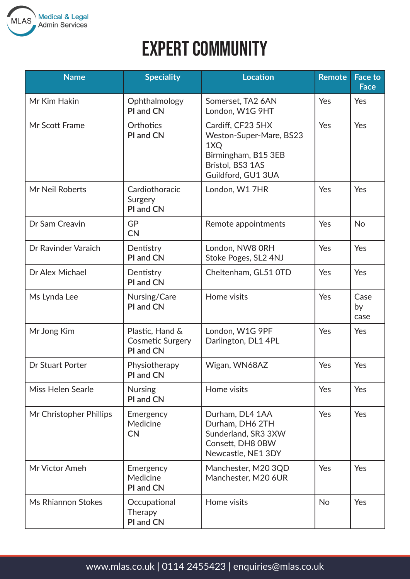

| <b>Name</b>             | <b>Speciality</b>                                       | <b>Location</b>                                                                                                      | <b>Remote</b> | <b>Face to</b><br><b>Face</b> |
|-------------------------|---------------------------------------------------------|----------------------------------------------------------------------------------------------------------------------|---------------|-------------------------------|
| Mr Kim Hakin            | Ophthalmology<br>PI and CN                              | Somerset, TA2 6AN<br>London, W1G 9HT                                                                                 | Yes           | Yes                           |
| Mr Scott Frame          | Orthotics<br>PI and CN                                  | Cardiff, CF23 5HX<br>Weston-Super-Mare, BS23<br>1XQ<br>Birmingham, B15 3EB<br>Bristol, BS3 1AS<br>Guildford, GU1 3UA | Yes           | Yes                           |
| Mr Neil Roberts         | Cardiothoracic<br>Surgery<br>PI and CN                  | London, W1 7HR                                                                                                       | Yes           | Yes                           |
| Dr Sam Creavin          | <b>GP</b><br><b>CN</b>                                  | Remote appointments                                                                                                  | Yes           | <b>No</b>                     |
| Dr Ravinder Varaich     | Dentistry<br>PI and CN                                  | London, NW8 ORH<br>Stoke Poges, SL2 4NJ                                                                              | Yes           | Yes                           |
| Dr Alex Michael         | Dentistry<br>PI and CN                                  | Cheltenham, GL51 OTD                                                                                                 | Yes           | Yes                           |
| Ms Lynda Lee            | Nursing/Care<br>PI and CN                               | Home visits                                                                                                          | Yes           | Case<br>by<br>case            |
| Mr Jong Kim             | Plastic, Hand &<br><b>Cosmetic Surgery</b><br>PI and CN | London, W1G 9PF<br>Darlington, DL1 4PL                                                                               | Yes           | Yes                           |
| <b>Dr Stuart Porter</b> | Physiotherapy<br>PI and CN                              | Wigan, WN68AZ                                                                                                        | Yes           | Yes                           |
| Miss Helen Searle       | <b>Nursing</b><br>PI and CN                             | Home visits                                                                                                          | Yes           | Yes                           |
| Mr Christopher Phillips | Emergency<br>Medicine<br><b>CN</b>                      | Durham, DL4 1AA<br>Durham, DH6 2TH<br>Sunderland, SR3 3XW<br>Consett, DH8 0BW<br>Newcastle, NE1 3DY                  | Yes           | Yes                           |
| Mr Victor Ameh          | Emergency<br>Medicine<br>PI and CN                      | Manchester, M20 3QD<br>Manchester, M20 6UR                                                                           | Yes           | Yes                           |
| Ms Rhiannon Stokes      | Occupational<br>Therapy<br>PI and CN                    | Home visits                                                                                                          | <b>No</b>     | Yes                           |